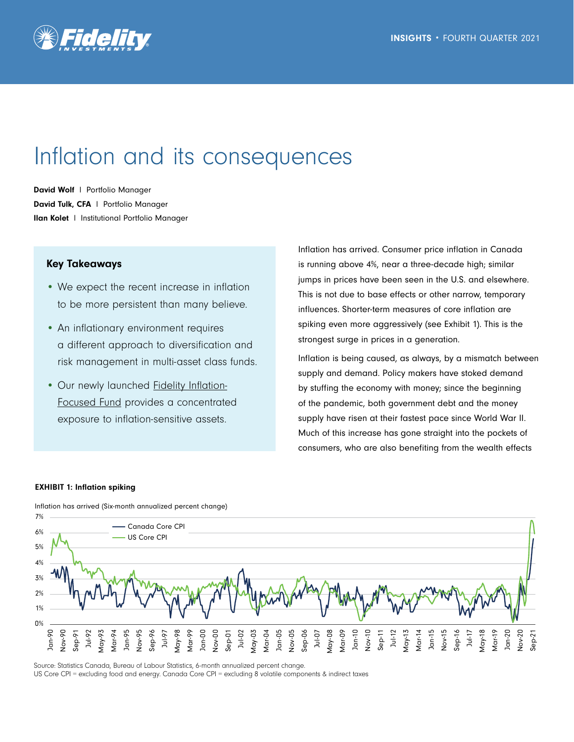

# Inflation and its consequences

David Wolf | Portfolio Manager David Tulk, CFA | Portfolio Manager Ilan Kolet l Institutional Portfolio Manager

## Key Takeaways

- We expect the recent increase in inflation to be more persistent than many believe.
- An inflationary environment requires a different approach to diversification and risk management in multi-asset class funds.
- Our newly launched **Fidelity Inflation-**[Focused Fund](https://www.fidelity.ca/cs/Satellite/doc/FF_RRB_B_en.pdf) provides a concentrated exposure to inflation-sensitive assets.

Inflation has arrived. Consumer price inflation in Canada is running above 4%, near a three-decade high; similar jumps in prices have been seen in the U.S. and elsewhere. This is not due to base effects or other narrow, temporary influences. Shorter-term measures of core inflation are spiking even more aggressively (see Exhibit 1). This is the strongest surge in prices in a generation.

Inflation is being caused, as always, by a mismatch between supply and demand. Policy makers have stoked demand by stuffing the economy with money; since the beginning of the pandemic, both government debt and the money supply have risen at their fastest pace since World War II. Much of this increase has gone straight into the pockets of consumers, who are also benefiting from the wealth effects

### EXHIBIT 1: Inflation spiking



Inflation has arrived (Six-month annualized percent change)

Source: Statistics Canada, Bureau of Labour Statistics, 6-month annualized percent change. US Core CPI = excluding food and energy. Canada Core CPI = excluding 8 volatile components & indirect taxes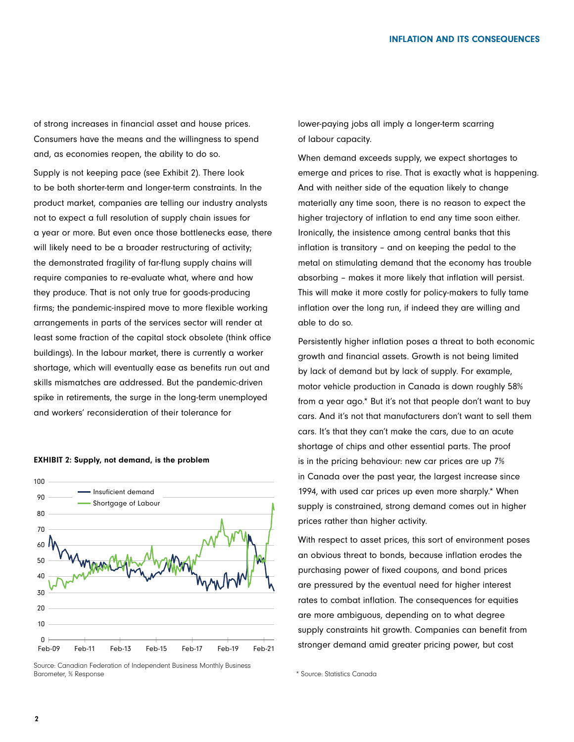of strong increases in financial asset and house prices. Consumers have the means and the willingness to spend and, as economies reopen, the ability to do so.

Supply is not keeping pace (see Exhibit 2). There look to be both shorter-term and longer-term constraints. In the product market, companies are telling our industry analysts not to expect a full resolution of supply chain issues for a year or more. But even once those bottlenecks ease, there will likely need to be a broader restructuring of activity; the demonstrated fragility of far-flung supply chains will require companies to re-evaluate what, where and how they produce. That is not only true for goods-producing firms; the pandemic-inspired move to more flexible working arrangements in parts of the services sector will render at least some fraction of the capital stock obsolete (think office buildings). In the labour market, there is currently a worker shortage, which will eventually ease as benefits run out and skills mismatches are addressed. But the pandemic-driven spike in retirements, the surge in the long-term unemployed and workers' reconsideration of their tolerance for

#### EXHIBIT 2: Supply, not demand, is the problem



Source: Canadian Federation of Independent Business Monthly Business Barometer, % Response

lower-paying jobs all imply a longer-term scarring of labour capacity.

When demand exceeds supply, we expect shortages to emerge and prices to rise. That is exactly what is happening. And with neither side of the equation likely to change materially any time soon, there is no reason to expect the higher trajectory of inflation to end any time soon either. Ironically, the insistence among central banks that this inflation is transitory – and on keeping the pedal to the metal on stimulating demand that the economy has trouble absorbing – makes it more likely that inflation will persist. This will make it more costly for policy-makers to fully tame inflation over the long run, if indeed they are willing and able to do so.

Persistently higher inflation poses a threat to both economic growth and financial assets. Growth is not being limited by lack of demand but by lack of supply. For example, motor vehicle production in Canada is down roughly 58% from a year ago.\* But it's not that people don't want to buy cars. And it's not that manufacturers don't want to sell them cars. It's that they can't make the cars, due to an acute shortage of chips and other essential parts. The proof is in the pricing behaviour: new car prices are up 7% in Canada over the past year, the largest increase since 1994, with used car prices up even more sharply.\* When supply is constrained, strong demand comes out in higher prices rather than higher activity.

With respect to asset prices, this sort of environment poses an obvious threat to bonds, because inflation erodes the purchasing power of fixed coupons, and bond prices are pressured by the eventual need for higher interest rates to combat inflation. The consequences for equities are more ambiguous, depending on to what degree supply constraints hit growth. Companies can benefit from stronger demand amid greater pricing power, but cost

\* Source: Statistics Canada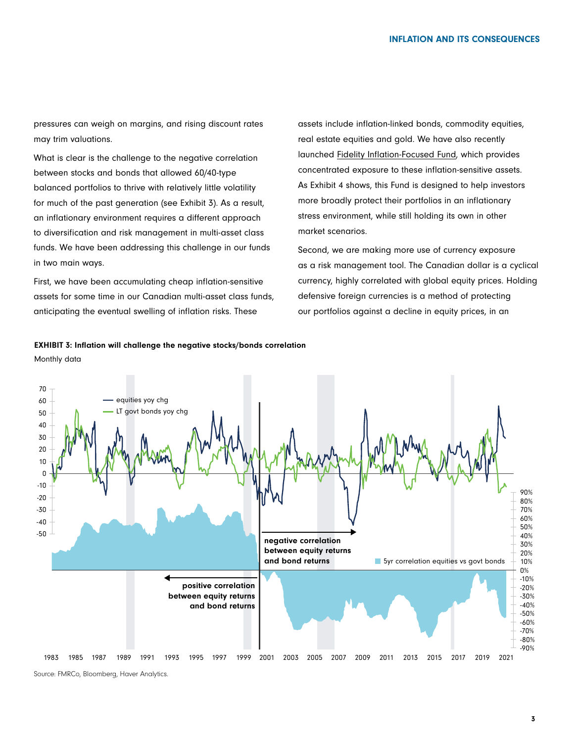pressures can weigh on margins, and rising discount rates may trim valuations.

What is clear is the challenge to the negative correlation between stocks and bonds that allowed 60/40-type balanced portfolios to thrive with relatively little volatility for much of the past generation (see Exhibit 3). As a result, an inflationary environment requires a different approach to diversification and risk management in multi-asset class funds. We have been addressing this challenge in our funds in two main ways.

First, we have been accumulating cheap inflation-sensitive assets for some time in our Canadian multi-asset class funds, anticipating the eventual swelling of inflation risks. These

EXHIBIT 3: Inflation will challenge the negative stocks/bonds correlation Monthly data

assets include inflation-linked bonds, commodity equities, real estate equities and gold. We have also recently launched [Fidelity Inflation-Focused Fund,](https://www.fidelity.ca/cs/Satellite/doc/FF_RRB_B_en.pdf) which provides concentrated exposure to these inflation-sensitive assets. As Exhibit 4 shows, this Fund is designed to help investors more broadly protect their portfolios in an inflationary stress environment, while still holding its own in other market scenarios.

Second, we are making more use of currency exposure as a risk management tool. The Canadian dollar is a cyclical currency, highly correlated with global equity prices. Holding defensive foreign currencies is a method of protecting our portfolios against a decline in equity prices, in an



Source: FMRCo, Bloomberg, Haver Analytics.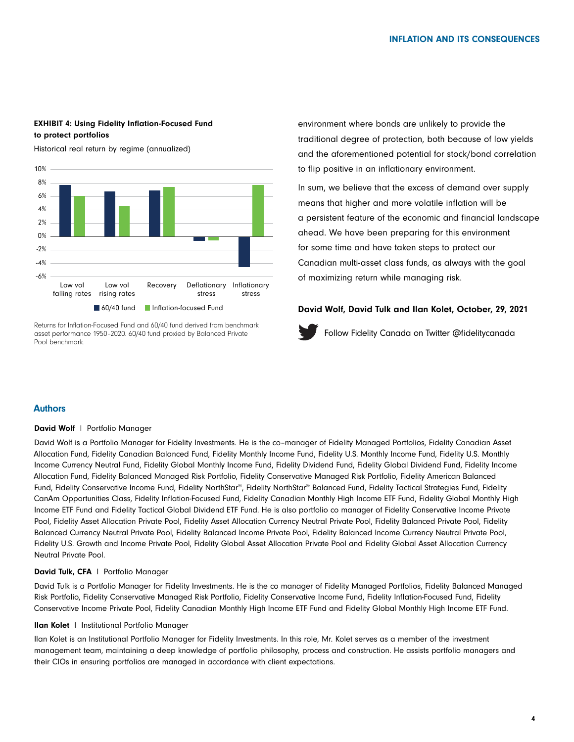## EXHIBIT 4: Using Fidelity Inflation-Focused Fund to protect portfolios

Historical real return by regime (annualized)



Returns for Inflation-Focused Fund and 60/40 fund derived from benchmark asset performance 1950–2020. 60/40 fund proxied by Balanced Private Pool benchmark.

environment where bonds are unlikely to provide the traditional degree of protection, both because of low yields and the aforementioned potential for stock/bond correlation to flip positive in an inflationary environment.

In sum, we believe that the excess of demand over supply means that higher and more volatile inflation will be a persistent feature of the economic and financial landscape ahead. We have been preparing for this environment for some time and have taken steps to protect our Canadian multi-asset class funds, as always with the goal of maximizing return while managing risk.

## David Wolf, David Tulk and Ilan Kolet, October, 29, 2021



[Follow Fidelity Canada on Twitter @fidelitycanada](https://twitter.com/fidelitycanada)

#### Authors

#### David Wolf | Portfolio Manager

David Wolf is a Portfolio Manager for Fidelity Investments. He is the co–manager of Fidelity Managed Portfolios, Fidelity Canadian Asset Allocation Fund, Fidelity Canadian Balanced Fund, Fidelity Monthly Income Fund, Fidelity U.S. Monthly Income Fund, Fidelity U.S. Monthly Income Currency Neutral Fund, Fidelity Global Monthly Income Fund, Fidelity Dividend Fund, Fidelity Global Dividend Fund, Fidelity Income Allocation Fund, Fidelity Balanced Managed Risk Portfolio, Fidelity Conservative Managed Risk Portfolio, Fidelity American Balanced Fund, Fidelity Conservative Income Fund, Fidelity NorthStar®, Fidelity NorthStar® Balanced Fund, Fidelity Tactical Strategies Fund, Fidelity CanAm Opportunities Class, Fidelity Inflation-Focused Fund, Fidelity Canadian Monthly High Income ETF Fund, Fidelity Global Monthly High Income ETF Fund and Fidelity Tactical Global Dividend ETF Fund. He is also portfolio co manager of Fidelity Conservative Income Private Pool, Fidelity Asset Allocation Private Pool, Fidelity Asset Allocation Currency Neutral Private Pool, Fidelity Balanced Private Pool, Fidelity Balanced Currency Neutral Private Pool, Fidelity Balanced Income Private Pool, Fidelity Balanced Income Currency Neutral Private Pool, Fidelity U.S. Growth and Income Private Pool, Fidelity Global Asset Allocation Private Pool and Fidelity Global Asset Allocation Currency Neutral Private Pool.

## David Tulk, CFA | Portfolio Manager

David Tulk is a Portfolio Manager for Fidelity Investments. He is the co manager of Fidelity Managed Portfolios, Fidelity Balanced Managed Risk Portfolio, Fidelity Conservative Managed Risk Portfolio, Fidelity Conservative Income Fund, Fidelity Inflation-Focused Fund, Fidelity Conservative Income Private Pool, Fidelity Canadian Monthly High Income ETF Fund and Fidelity Global Monthly High Income ETF Fund.

#### Ilan Kolet l Institutional Portfolio Manager

Ilan Kolet is an Institutional Portfolio Manager for Fidelity Investments. In this role, Mr. Kolet serves as a member of the investment management team, maintaining a deep knowledge of portfolio philosophy, process and construction. He assists portfolio managers and their CIOs in ensuring portfolios are managed in accordance with client expectations.